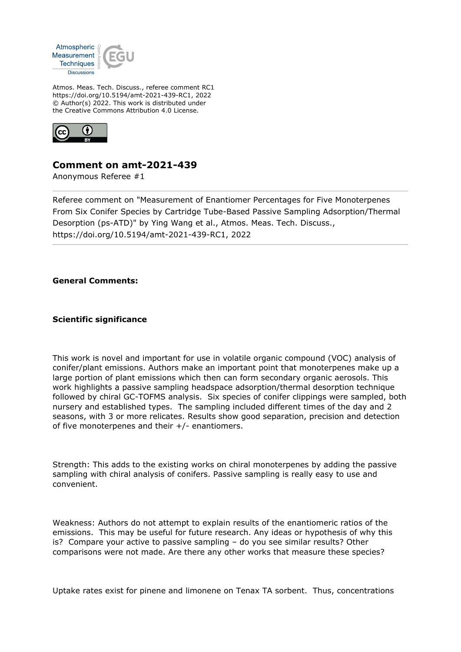

Atmos. Meas. Tech. Discuss., referee comment RC1 https://doi.org/10.5194/amt-2021-439-RC1, 2022 © Author(s) 2022. This work is distributed under the Creative Commons Attribution 4.0 License.



## **Comment on amt-2021-439**

Anonymous Referee #1

Referee comment on "Measurement of Enantiomer Percentages for Five Monoterpenes From Six Conifer Species by Cartridge Tube-Based Passive Sampling Adsorption/Thermal Desorption (ps-ATD)" by Ying Wang et al., Atmos. Meas. Tech. Discuss., https://doi.org/10.5194/amt-2021-439-RC1, 2022

**General Comments:**

**Scientific significance**

This work is novel and important for use in volatile organic compound (VOC) analysis of conifer/plant emissions. Authors make an important point that monoterpenes make up a large portion of plant emissions which then can form secondary organic aerosols. This work highlights a passive sampling headspace adsorption/thermal desorption technique followed by chiral GC-TOFMS analysis. Six species of conifer clippings were sampled, both nursery and established types. The sampling included different times of the day and 2 seasons, with 3 or more relicates. Results show good separation, precision and detection of five monoterpenes and their +/- enantiomers.

Strength: This adds to the existing works on chiral monoterpenes by adding the passive sampling with chiral analysis of conifers. Passive sampling is really easy to use and convenient.

Weakness: Authors do not attempt to explain results of the enantiomeric ratios of the emissions. This may be useful for future research. Any ideas or hypothesis of why this is? Compare your active to passive sampling – do you see similar results? Other comparisons were not made. Are there any other works that measure these species?

Uptake rates exist for pinene and limonene on Tenax TA sorbent. Thus, concentrations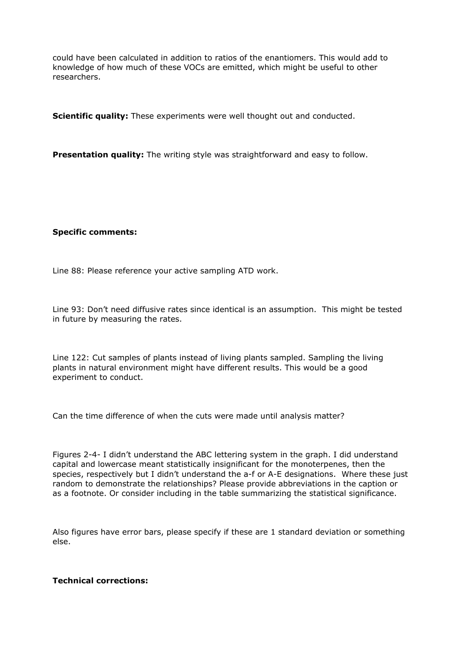could have been calculated in addition to ratios of the enantiomers. This would add to knowledge of how much of these VOCs are emitted, which might be useful to other researchers.

**Scientific quality:** These experiments were well thought out and conducted.

**Presentation quality:** The writing style was straightforward and easy to follow.

## **Specific comments:**

Line 88: Please reference your active sampling ATD work.

Line 93: Don't need diffusive rates since identical is an assumption. This might be tested in future by measuring the rates.

Line 122: Cut samples of plants instead of living plants sampled. Sampling the living plants in natural environment might have different results. This would be a good experiment to conduct.

Can the time difference of when the cuts were made until analysis matter?

Figures 2-4- I didn't understand the ABC lettering system in the graph. I did understand capital and lowercase meant statistically insignificant for the monoterpenes, then the species, respectively but I didn't understand the a-f or A-E designations. Where these just random to demonstrate the relationships? Please provide abbreviations in the caption or as a footnote. Or consider including in the table summarizing the statistical significance.

Also figures have error bars, please specify if these are 1 standard deviation or something else.

## **Technical corrections:**